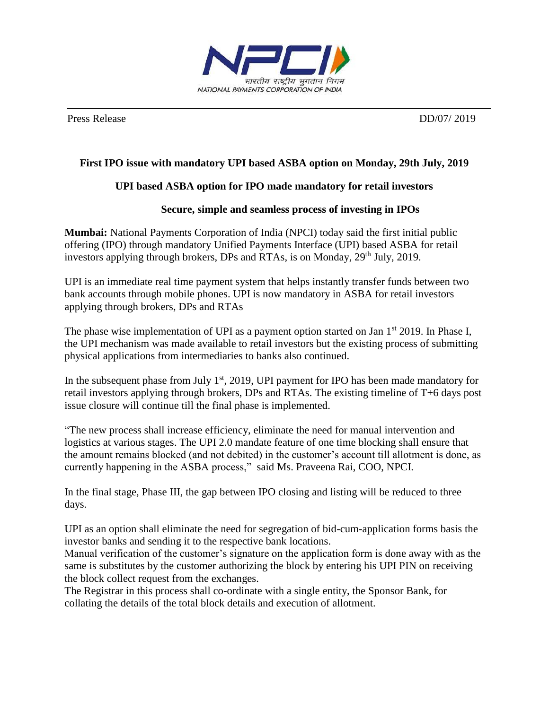

Press Release DD/07/ 2019

# **First IPO issue with mandatory UPI based ASBA option on Monday, 29th July, 2019**

## **UPI based ASBA option for IPO made mandatory for retail investors**

### **Secure, simple and seamless process of investing in IPOs**

**Mumbai:** National Payments Corporation of India (NPCI) today said the first initial public offering (IPO) through mandatory Unified Payments Interface (UPI) based ASBA for retail investors applying through brokers, DPs and RTAs, is on Monday,  $29<sup>th</sup>$  July, 2019.

UPI is an immediate real time payment system that helps instantly transfer funds between two bank accounts through mobile phones. UPI is now mandatory in ASBA for retail investors applying through brokers, DPs and RTAs

The phase wise implementation of UPI as a payment option started on Jan 1<sup>st</sup> 2019. In Phase I, the UPI mechanism was made available to retail investors but the existing process of submitting physical applications from intermediaries to banks also continued.

In the subsequent phase from July  $1<sup>st</sup>$ , 2019, UPI payment for IPO has been made mandatory for retail investors applying through brokers, DPs and RTAs. The existing timeline of T+6 days post issue closure will continue till the final phase is implemented.

"The new process shall increase efficiency, eliminate the need for manual intervention and logistics at various stages. The UPI 2.0 mandate feature of one time blocking shall ensure that the amount remains blocked (and not debited) in the customer's account till allotment is done, as currently happening in the ASBA process," said Ms. Praveena Rai, COO, NPCI.

In the final stage, Phase III, the gap between IPO closing and listing will be reduced to three days.

UPI as an option shall eliminate the need for segregation of bid-cum-application forms basis the investor banks and sending it to the respective bank locations.

Manual verification of the customer's signature on the application form is done away with as the same is substitutes by the customer authorizing the block by entering his UPI PIN on receiving the block collect request from the exchanges.

The Registrar in this process shall co-ordinate with a single entity, the Sponsor Bank, for collating the details of the total block details and execution of allotment.